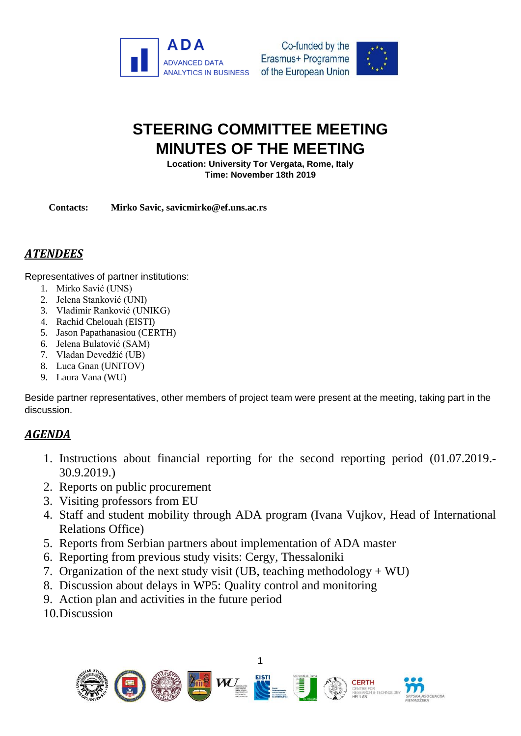



# **STEERING COMMITTEE MEETING MINUTES OF THE MEETING**

**Location: University Tor Vergata, Rome, Italy Time: November 18th 2019**

**Contacts: Mirko Savic, savicmirko@ef.uns.ac.rs**

# *ATENDEES*

Representatives of partner institutions:

- 1. Mirko Savić (UNS)
- 2. Jelena Stanković (UNI)
- 3. Vladimir Ranković (UNIKG)
- 4. Rachid Chelouah (EISTI)
- 5. Jason Papathanasiou (CERTH)
- 6. Jelena Bulatović (SAM)
- 7. Vladan Devedžić (UB)
- 8. Luca Gnan (UNITOV)
- 9. Laura Vana (WU)

Beside partner representatives, other members of project team were present at the meeting, taking part in the discussion.

## *AGENDA*

- 1. Instructions about financial reporting for the second reporting period (01.07.2019.- 30.9.2019.)
- 2. Reports on public procurement
- 3. Visiting professors from EU
- 4. Staff and student mobility through ADA program (Ivana Vujkov, Head of International Relations Office)
- 5. Reports from Serbian partners about implementation of ADA master
- 6. Reporting from previous study visits: Cergy, Thessaloniki
- 7. Organization of the next study visit (UB, teaching methodology  $+ WU$ )
- 8. Discussion about delays in WP5: Quality control and monitoring
- 9. Action plan and activities in the future period
- 10.Discussion

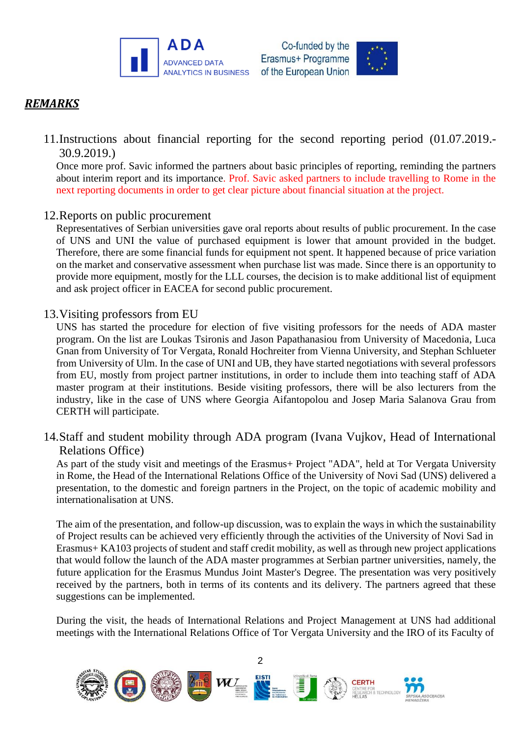



# *REMARKS*

11.Instructions about financial reporting for the second reporting period (01.07.2019.- 30.9.2019.)

Once more prof. Savic informed the partners about basic principles of reporting, reminding the partners about interim report and its importance. Prof. Savic asked partners to include travelling to Rome in the next reporting documents in order to get clear picture about financial situation at the project.

#### 12.Reports on public procurement

Representatives of Serbian universities gave oral reports about results of public procurement. In the case of UNS and UNI the value of purchased equipment is lower that amount provided in the budget. Therefore, there are some financial funds for equipment not spent. It happened because of price variation on the market and conservative assessment when purchase list was made. Since there is an opportunity to provide more equipment, mostly for the LLL courses, the decision is to make additional list of equipment and ask project officer in EACEA for second public procurement.

#### 13.Visiting professors from EU

UNS has started the procedure for election of five visiting professors for the needs of ADA master program. On the list are Loukas Tsironis and Jason Papathanasiou from University of Macedonia, Luca Gnan from University of Tor Vergata, Ronald Hochreiter from Vienna University, and Stephan Schlueter from University of Ulm. In the case of UNI and UB, they have started negotiations with several professors from EU, mostly from project partner institutions, in order to include them into teaching staff of ADA master program at their institutions. Beside visiting professors, there will be also lecturers from the industry, like in the case of UNS where Georgia Aifantopolou and Josep Maria Salanova Grau from CERTH will participate.

14.Staff and student mobility through ADA program (Ivana Vujkov, Head of International Relations Office)

As part of the study visit and meetings of the Erasmus+ Project "ADA", held at Tor Vergata University in Rome, the Head of the International Relations Office of the University of Novi Sad (UNS) delivered a presentation, to the domestic and foreign partners in the Project, on the topic of academic mobility and internationalisation at UNS.

The aim of the presentation, and follow-up discussion, was to explain the ways in which the sustainability of Project results can be achieved very efficiently through the activities of the University of Novi Sad in Erasmus+ KA103 projects of student and staff credit mobility, as well as through new project applications that would follow the launch of the ADA master programmes at Serbian partner universities, namely, the future application for the Erasmus Mundus Joint Master's Degree. The presentation was very positively received by the partners, both in terms of its contents and its delivery. The partners agreed that these suggestions can be implemented.

During the visit, the heads of International Relations and Project Management at UNS had additional meetings with the International Relations Office of Tor Vergata University and the IRO of its Faculty of

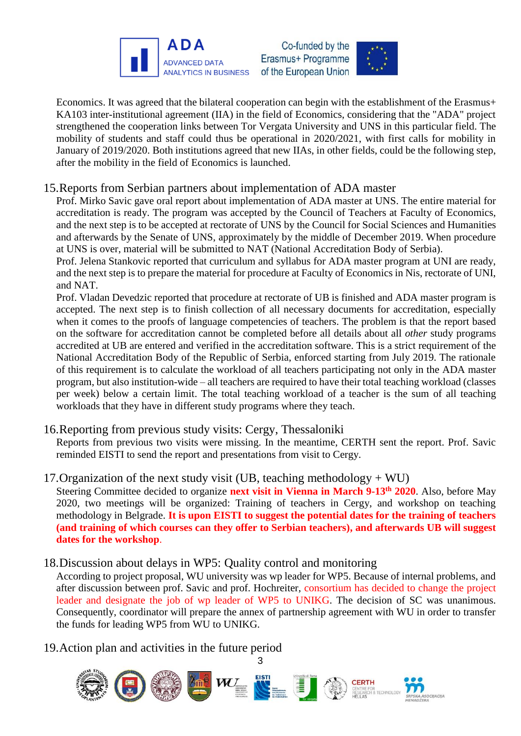

Co-funded by the Erasmus+ Programme of the European Union



Economics. It was agreed that the bilateral cooperation can begin with the establishment of the Erasmus+ KA103 inter-institutional agreement (IIA) in the field of Economics, considering that the "ADA" project strengthened the cooperation links between Tor Vergata University and UNS in this particular field. The mobility of students and staff could thus be operational in 2020/2021, with first calls for mobility in January of 2019/2020. Both institutions agreed that new IIAs, in other fields, could be the following step, after the mobility in the field of Economics is launched.

## 15.Reports from Serbian partners about implementation of ADA master

Prof. Mirko Savic gave oral report about implementation of ADA master at UNS. The entire material for accreditation is ready. The program was accepted by the Council of Teachers at Faculty of Economics, and the next step is to be accepted at rectorate of UNS by the Council for Social Sciences and Humanities and afterwards by the Senate of UNS, approximately by the middle of December 2019. When procedure at UNS is over, material will be submitted to NAT (National Accreditation Body of Serbia).

Prof. Jelena Stankovic reported that curriculum and syllabus for ADA master program at UNI are ready, and the next step is to prepare the material for procedure at Faculty of Economics in Nis, rectorate of UNI, and NAT.

Prof. Vladan Devedzic reported that procedure at rectorate of UB is finished and ADA master program is accepted. The next step is to finish collection of all necessary documents for accreditation, especially when it comes to the proofs of language competencies of teachers. The problem is that the report based on the software for accreditation cannot be completed before all details about all *other* study programs accredited at UB are entered and verified in the accreditation software. This is a strict requirement of the National Accreditation Body of the Republic of Serbia, enforced starting from July 2019. The rationale of this requirement is to calculate the workload of all teachers participating not only in the ADA master program, but also institution-wide – all teachers are required to have their total teaching workload (classes per week) below a certain limit. The total teaching workload of a teacher is the sum of all teaching workloads that they have in different study programs where they teach.

#### 16.Reporting from previous study visits: Cergy, Thessaloniki

Reports from previous two visits were missing. In the meantime, CERTH sent the report. Prof. Savic reminded EISTI to send the report and presentations from visit to Cergy.

## 17. Organization of the next study visit (UB, teaching methodology  $+ WU$ )

Steering Committee decided to organize **next visit in Vienna in March 9-13th 2020**. Also, before May 2020, two meetings will be organized: Training of teachers in Cergy, and workshop on teaching methodology in Belgrade. **It is upon EISTI to suggest the potential dates for the training of teachers (and training of which courses can they offer to Serbian teachers), and afterwards UB will suggest dates for the workshop**.

## 18.Discussion about delays in WP5: Quality control and monitoring

According to project proposal, WU university was wp leader for WP5. Because of internal problems, and after discussion between prof. Savic and prof. Hochreiter, consortium has decided to change the project leader and designate the job of wp leader of WP5 to UNIKG. The decision of SC was unanimous. Consequently, coordinator will prepare the annex of partnership agreement with WU in order to transfer the funds for leading WP5 from WU to UNIKG.

3

19.Action plan and activities in the future period